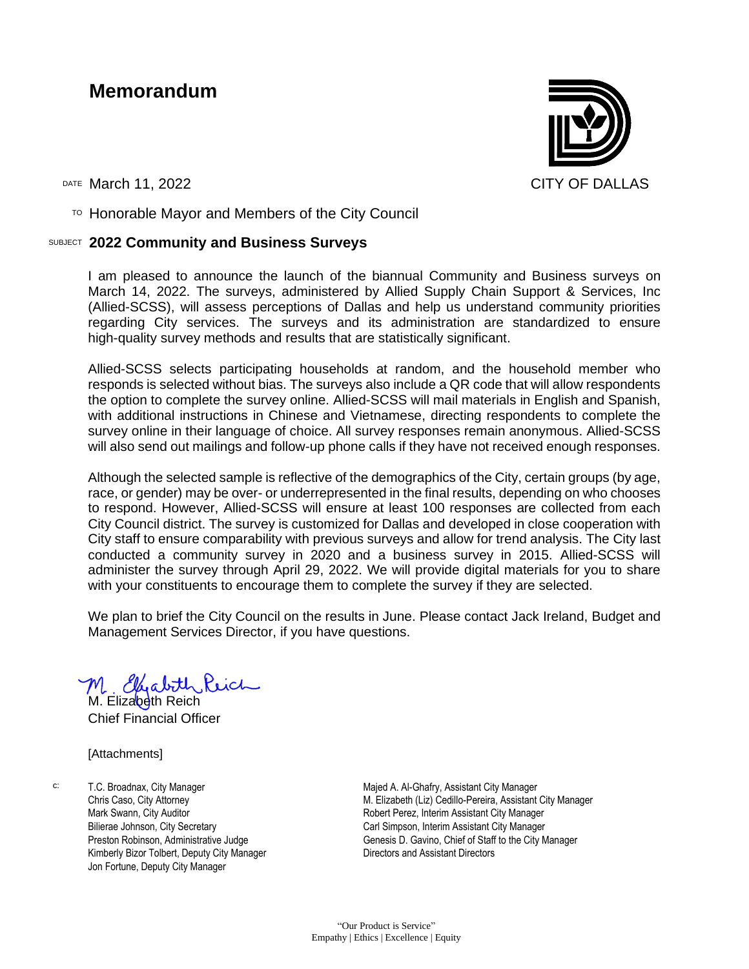#### **Memorandum**



DATE March 11, 2022 CITY OF DALLAS

 $T$ <sup>O</sup> Honorable Mayor and Members of the City Council

#### SUBJECT **2022 Community and Business Surveys**

I am pleased to announce the launch of the biannual Community and Business surveys on March 14, 2022. The surveys, administered by Allied Supply Chain Support & Services, Inc (Allied-SCSS), will assess perceptions of Dallas and help us understand community priorities regarding City services. The surveys and its administration are standardized to ensure high-quality survey methods and results that are statistically significant.

Allied-SCSS selects participating households at random, and the household member who responds is selected without bias. The surveys also include a QR code that will allow respondents the option to complete the survey online. Allied-SCSS will mail materials in English and Spanish, with additional instructions in Chinese and Vietnamese, directing respondents to complete the survey online in their language of choice. All survey responses remain anonymous. Allied-SCSS will also send out mailings and follow-up phone calls if they have not received enough responses.

Although the selected sample is reflective of the demographics of the City, certain groups (by age, race, or gender) may be over- or underrepresented in the final results, depending on who chooses to respond. However, Allied-SCSS will ensure at least 100 responses are collected from each City Council district. The survey is customized for Dallas and developed in close cooperation with City staff to ensure comparability with previous surveys and allow for trend analysis. The City last conducted a community survey in 2020 and a business survey in 2015. Allied-SCSS will administer the survey through April 29, 2022. We will provide digital materials for you to share with your constituents to encourage them to complete the survey if they are selected.

We plan to brief the City Council on the results in June. Please contact Jack Ireland, Budget and Management Services Director, if you have questions.

M. Elizabeth Rich

Chief Financial Officer

[Attachments]

c: T.C. Broadnax, City Manager Chris Caso, City Attorney Mark Swann, City Auditor Bilierae Johnson, City Secretary Preston Robinson, Administrative Judge Kimberly Bizor Tolbert, Deputy City Manager Jon Fortune, Deputy City Manager

Majed A. Al-Ghafry, Assistant City Manager M. Elizabeth (Liz) Cedillo-Pereira, Assistant City Manager Robert Perez, Interim Assistant City Manager Carl Simpson, Interim Assistant City Manager Genesis D. Gavino, Chief of Staff to the City Manager Directors and Assistant Directors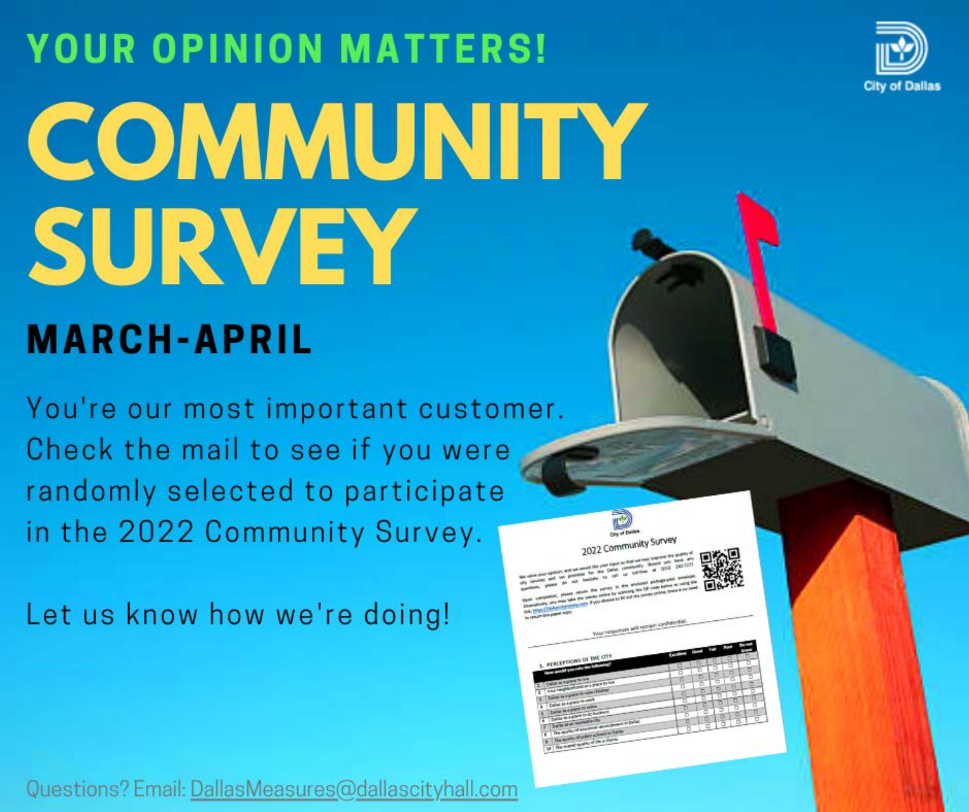

Community Survey

# **YOUR OPINION MATTERS!** COMMUNITY SURVEY

#### **MARCH-APRIL**

You're our most important customer. Check the mail to see if you were randomly selected to participate in the 2022 Community Survey.

Let us know how we're doing!

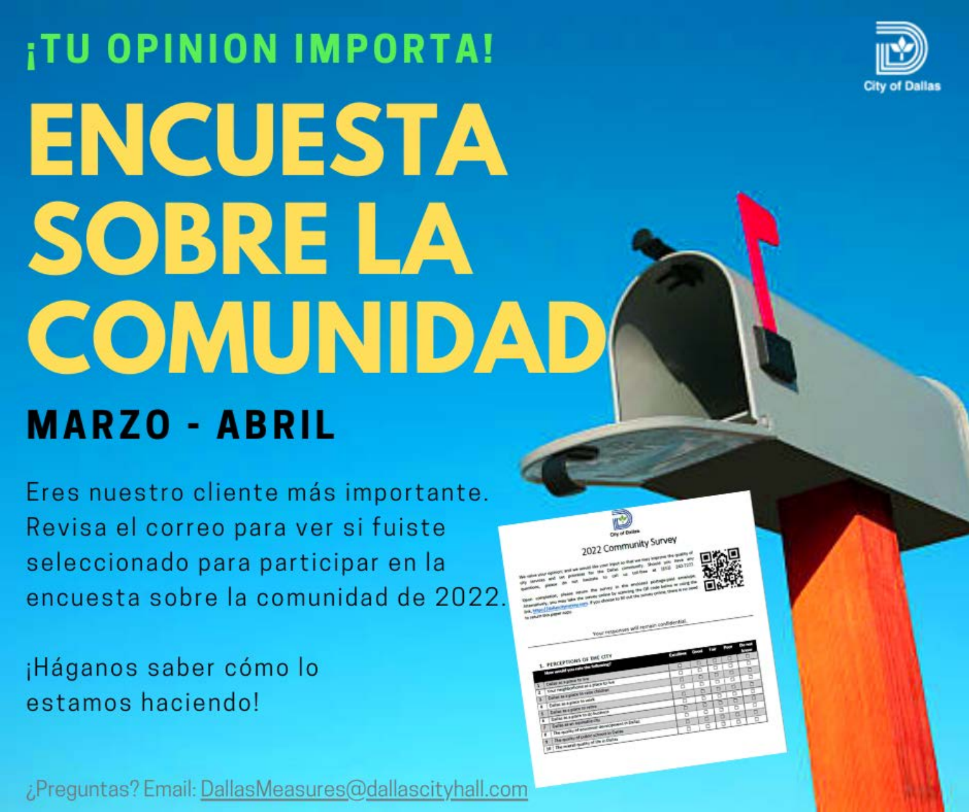

## **ITU OPINION IMPORTA! ENCUESTA** SOBRE LA COMUNIDAD **MARZO - ABRIL**

Eres nuestro cliente más importante. Revisa el correo para ver si fuiste seleccionado para participar en la encuesta sobre la comunidad de 2022.

¡Háganos saber cómo lo estamos haciendo!

¿Preguntas? Email: DallasMeasures@dallascityhall.com

|                            | 2022 Communication                                                                                                                                                                  |   |                       |
|----------------------------|-------------------------------------------------------------------------------------------------------------------------------------------------------------------------------------|---|-----------------------|
|                            | The value your openor, and we would like your legal to that we want legales the guiding of                                                                                          |   |                       |
|                            | (ii) lanciate and lot possesse for the Datas constantly. Sound<br>sentors, passe de sus baceles to call us uniform at 1972-243-7277                                                 |   |                       |
|                            | their completion, plastic neutro the survey in this anciental photographic available.                                                                                               |   |                       |
|                            |                                                                                                                                                                                     |   |                       |
|                            |                                                                                                                                                                                     |   |                       |
|                            | Alternatively, you want take the column colors by scheduled the CA code below or color the<br>the trip ( ) advertising any stay from desire to be out the same prime trans a re-med |   |                       |
|                            |                                                                                                                                                                                     |   |                       |
| he return this paper nothi |                                                                                                                                                                                     |   |                       |
|                            |                                                                                                                                                                                     |   |                       |
|                            | Your retained will remain us                                                                                                                                                        |   |                       |
|                            |                                                                                                                                                                                     |   |                       |
|                            |                                                                                                                                                                                     |   |                       |
|                            |                                                                                                                                                                                     |   |                       |
|                            | 1. PERCEPTIONS OF THE CITY                                                                                                                                                          |   | u<br>5                |
|                            | three pandal you rate the futures                                                                                                                                                   | α | s                     |
| Color at vision to low     |                                                                                                                                                                                     | ń | б<br>٠<br>o<br>र<br>× |
| x                          | timal merghanes cost as a place to last                                                                                                                                             | 8 | ۰<br>u<br>ನ<br>۰      |
| э                          | College as a good to have the challenge                                                                                                                                             | n | ю<br>v<br>u           |
| з                          | Collect as a glace to work                                                                                                                                                          |   | c<br>÷<br>u<br>u      |
| ٠                          | <b>Called In 4 place to selling</b>                                                                                                                                                 | Б | u<br>ಕ<br>5<br>8      |
| x                          | Dallas al 4 poeta to di Augusta                                                                                                                                                     | Б | d<br>8<br>×           |
| ٠                          | <b>Called all an Association City</b><br>The moving of ensurest development in Earlier                                                                                              | б | ۰<br>÷                |
| ٠                          |                                                                                                                                                                                     |   | u                     |
| ٠                          | The move of pulse school in being                                                                                                                                                   |   |                       |
| ۰                          | The matter quality of the in Dallas                                                                                                                                                 |   |                       |
|                            |                                                                                                                                                                                     |   |                       |

**ALL SUITVEY**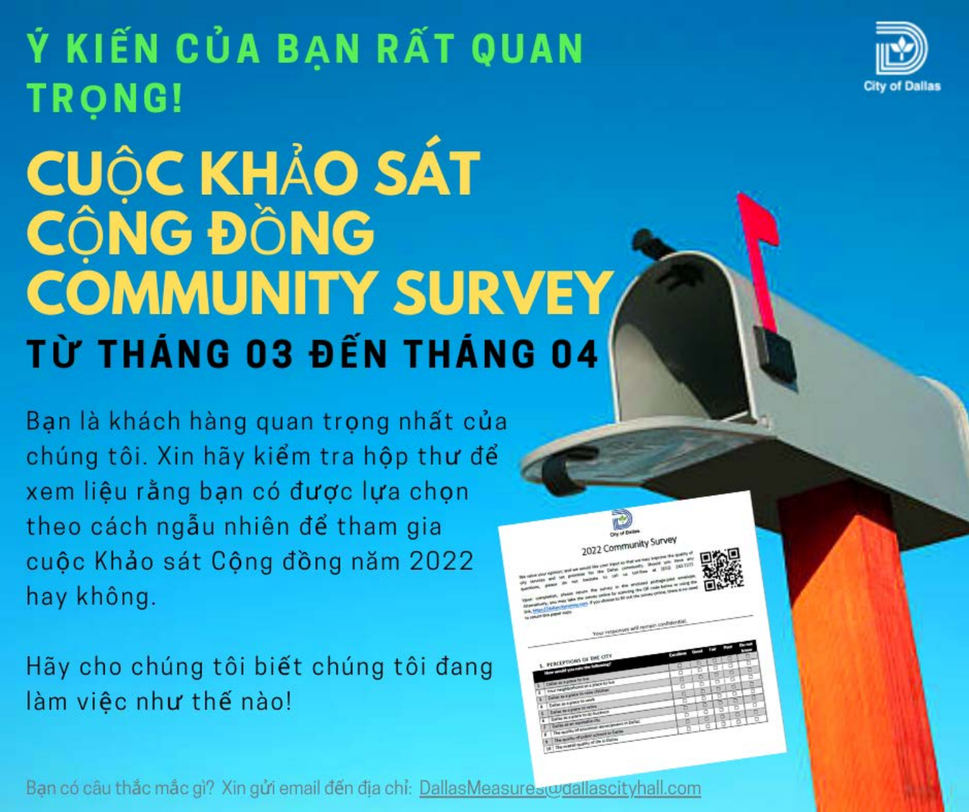### Ý KIẾN CỦA BẠN RẤT QUAN **TRONG!**



## **CUỘC KHẢO SÁT<br>CỘNG ĐỒNG COMMUNITY SURVEY** TỪ THÁNG 03 ĐẾN THÁNG 04

Bạn là khách hàng quan trọng nhất của chúng tôi. Xin hãy kiểm tra hộp thư để xem liệu rằng bạn có được lựa chọn theo cách ngẫu nhiên để tham gia cuộc Khảo sát Cộng đồng năm 2022 hay không.

Hãy cho chúng tôi biết chúng tôi đang làm việc như thế nào!



Community Survey

Ban có câu thắc mắc gì? Xin gửi email đến địa chỉ: DallasMeasures(wdallascityhall.com